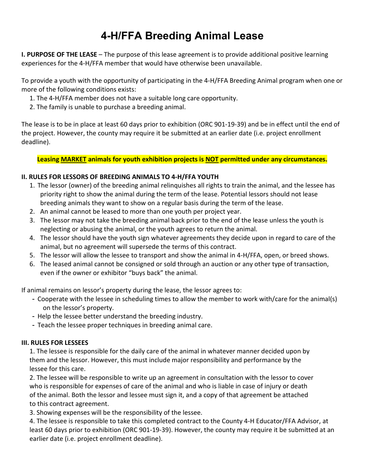## **4-H/FFA Breeding Animal Lease**

**I. PURPOSE OF THE LEASE** – The purpose of this lease agreement is to provide additional positive learning experiences for the 4-H/FFA member that would have otherwise been unavailable.

To provide a youth with the opportunity of participating in the 4-H/FFA Breeding Animal program when one or more of the following conditions exists:

- 1. The 4-H/FFA member does not have a suitable long care opportunity.
- 2. The family is unable to purchase a breeding animal.

The lease is to be in place at least 60 days prior to exhibition (ORC 901-19-39) and be in effect until the end of the project. However, the county may require it be submitted at an earlier date (i.e. project enrollment deadline).

**Leasing MARKET animals for youth exhibition projects is NOT permitted under any circumstances.**

## **II. RULES FOR LESSORS OF BREEDING ANIMALS TO 4-H/FFA YOUTH**

- 1. The lessor (owner) of the breeding animal relinquishes all rights to train the animal, and the lessee has priority right to show the animal during the term of the lease. Potential lessors should not lease breeding animals they want to show on a regular basis during the term of the lease.
- 2. An animal cannot be leased to more than one youth per project year.
- 3. The lessor may not take the breeding animal back prior to the end of the lease unless the youth is neglecting or abusing the animal, or the youth agrees to return the animal.
- 4. The lessor should have the youth sign whatever agreements they decide upon in regard to care of the animal, but no agreement will supersede the terms of this contract.
- 5. The lessor will allow the lessee to transport and show the animal in 4-H/FFA, open, or breed shows.
- 6. The leased animal cannot be consigned or sold through an auction or any other type of transaction, even if the owner or exhibitor "buys back" the animal.

If animal remains on lessor's property during the lease, the lessor agrees to:

- Cooperate with the lessee in scheduling times to allow the member to work with/care for the animal(s) on the lessor's property.
- Help the lessee better understand the breeding industry.
- Teach the lessee proper techniques in breeding animal care.

## **III. RULES FOR LESSEES**

1. The lessee is responsible for the daily care of the animal in whatever manner decided upon by them and the lessor. However, this must include major responsibility and performance by the lessee for this care.

2. The lessee will be responsible to write up an agreement in consultation with the lessor to cover who is responsible for expenses of care of the animal and who is liable in case of injury or death of the animal. Both the lessor and lessee must sign it, and a copy of that agreement be attached to this contract agreement.

3. Showing expenses will be the responsibility of the lessee.

4. The lessee is responsible to take this completed contract to the County 4-H Educator/FFA Advisor, at least 60 days prior to exhibition (ORC 901-19-39). However, the county may require it be submitted at an earlier date (i.e. project enrollment deadline).